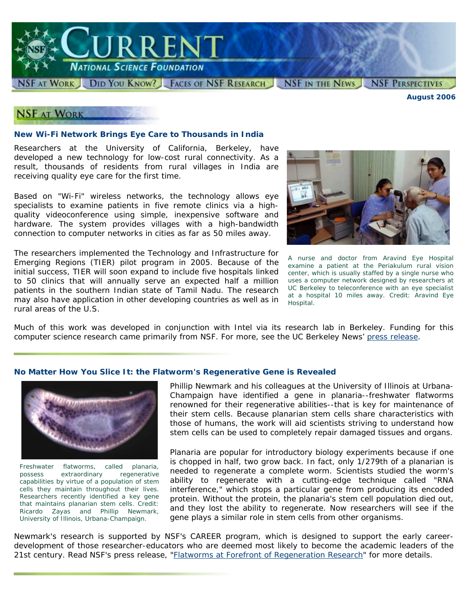

*August 2006*

## **NSF AT WORK**

#### **New Wi-Fi Network Brings Eye Care to Thousands in India**

Researchers at the University of California, Berkeley, have developed a new technology for low-cost rural connectivity. As a result, thousands of residents from rural villages in India are receiving quality eye care for the first time.

Based on "Wi-Fi" wireless networks, the technology allows eye specialists to examine patients in five remote clinics via a highquality videoconference using simple, inexpensive software and hardware. The system provides villages with a high-bandwidth connection to computer networks in cities as far as 50 miles away.

The researchers implemented the Technology and Infrastructure for Emerging Regions (TIER) pilot program in 2005. Because of the initial success, TIER will soon expand to include five hospitals linked to 50 clinics that will annually serve an expected half a million patients in the southern Indian state of Tamil Nadu. The research may also have application in other developing countries as well as in rural areas of the U.S.



*A nurse and doctor from Aravind Eye Hospital examine a patient at the Periakulum rural vision center, which is usually staffed by a single nurse who uses a computer network designed by researchers at UC Berkeley to teleconference with an eye specialist at a hospital 10 miles away. Credit: Aravind Eye Hospital.* 

Much of this work was developed in conjunction with Intel via its research lab in Berkeley. Funding for this computer science research came primarily from NSF. For more, see the UC Berkeley News' [press release.](http://www.berkeley.edu/news/media/releases/2006/06/06_telemedicine.shtml)

### *No Matter How You Slice It***: the Flatworm's Regenerative Gene is Revealed**



*Freshwater flatworms, called planaria, possess extraordinary regenerative capabilities by virtue of a population of stem cells they maintain throughout their lives. Researchers recently identified a key gene that maintains planarian stem cells. Credit: Ricardo Zayas and Phillip Newmark, University of Illinois, Urbana-Champaign.*

Phillip Newmark and his colleagues at the University of Illinois at Urbana-Champaign have identified a gene in planaria--freshwater flatworms renowned for their regenerative abilities--that is key for maintenance of their stem cells. Because planarian stem cells share characteristics with those of humans, the work will aid scientists striving to understand how stem cells can be used to completely repair damaged tissues and organs.

Planaria are popular for introductory biology experiments because if one is chopped in half, two grow back. In fact, only 1/279th of a planarian is needed to regenerate a complete worm. Scientists studied the worm's ability to regenerate with a cutting-edge technique called "RNA interference," which stops a particular gene from producing its encoded protein. Without the protein, the planaria's stem cell population died out, and they lost the ability to regenerate. Now researchers will see if the gene plays a similar role in stem cells from other organisms.

Newmark's research is supported by NSF's CAREER program, which is designed to support the early careerdevelopment of those researcher-educators who are deemed most likely to become the academic leaders of the 21st century. Read NSF's press release, ["Flatworms at Forefront of Regeneration Research"](http://www.nsf.gov/news/news_summ.jsp?cntn_id=107916) for more details.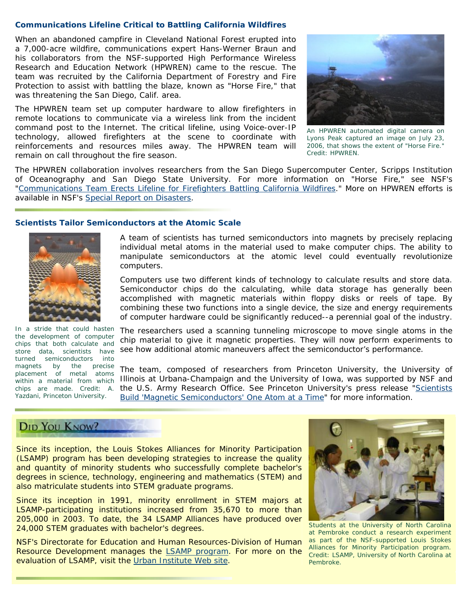#### **Communications Lifeline Critical to Battling California Wildfires**

When an abandoned campfire in Cleveland National Forest erupted into a 7,000-acre wildfire, communications expert Hans-Werner Braun and his collaborators from the NSF-supported High Performance Wireless Research and Education Network (HPWREN) came to the rescue. The team was recruited by the California Department of Forestry and Fire Protection to assist with battling the blaze, known as "Horse Fire," that was threatening the San Diego, Calif. area.

The HPWREN team set up computer hardware to allow firefighters in remote locations to communicate via a wireless link from the incident command post to the Internet. The critical lifeline, using Voice-over-IP technology, allowed firefighters at the scene to coordinate with reinforcements and resources miles away. The HPWREN team will remain on call throughout the fire season.



*An HPWREN automated digital camera on Lyons Peak captured an image on July 23, 2006, that shows the extent of "Horse Fire." Credit: HPWREN.*

The HPWREN collaboration involves researchers from the San Diego Supercomputer Center, Scripps Institution of Oceanography and San Diego State University. For more information on "Horse Fire," see NSF's ["Communications Team Erects Lifeline for Firefighters Battling California Wildfires](http://www.nsf.gov/news/news_summ.jsp?cntn_id=107121)." More on HPWREN efforts is available in NSF's [Special Report on Disasters](http://www.nsf.gov/news/special_reports/disasters/index_low.jsp?id=immediate&sid=communication).

### **Scientists Tailor Semiconductors at the Atomic Scale**



*In a stride that could hasten the development of computer chips that both calculate and turned semiconductors into magnets by the precise placement of metal atoms within a material from which Yazdani, Princeton University.*

A team of scientists has turned semiconductors into magnets by precisely replacing individual metal atoms in the material used to make computer chips. The ability to manipulate semiconductors at the atomic level could eventually revolutionize computers.

Computers use two different kinds of technology to calculate results and store data. Semiconductor chips do the calculating, while data storage has generally been accomplished with magnetic materials within floppy disks or reels of tape. By combining these two functions into a single device, the size and energy requirements of computer hardware could be significantly reduced--a perennial goal of the industry.

*store data, scientists have*  see how additional atomic maneuvers affect the semiconductor's performance. The researchers used a scanning tunneling microscope to move single atoms in the chip material to give it magnetic properties. They will now perform experiments to

*chips are made. Credit: A.*  the U.S. Army Research Office. See Princeton University's press release "[Scientists](http://www.princeton.edu/main/news/archive/S15/37/72E21/index.xml)  The team, composed of researchers from Princeton University, the University of Illinois at Urbana-Champaign and the University of Iowa, was supported by NSF and [Build 'Magnetic Semiconductors' One Atom at a Time](http://www.princeton.edu/main/news/archive/S15/37/72E21/index.xml)" for more information.

# **DID YOU KNOW?**

Since its inception, the Louis Stokes Alliances for Minority Participation (LSAMP) program has been developing strategies to increase the quality and quantity of minority students who successfully complete bachelor's degrees in science, technology, engineering and mathematics (STEM) and also matriculate students into STEM graduate programs.

Since its inception in 1991, minority enrollment in STEM majors at LSAMP-participating institutions increased from 35,670 to more than 205,000 in 2003. To date, the 34 LSAMP Alliances have produced over 24,000 STEM graduates with bachelor's degrees.

NSF's Directorate for Education and Human Resources-Division of Human Resource Development manages the [LSAMP program](http://www.nsf.gov/funding/pgm_summ.jsp?pims_id=5477&org=NSF&from=fund). For more on the evaluation of LSAMP, visit the [Urban Institute Web site.](http://www.urban.org/publications/411301.html)



*Students at the University of North Carolina at Pembroke conduct a research experiment as part of the NSF-supported Louis Stokes Alliances for Minority Participation program. Credit: LSAMP, University of North Carolina at Pembroke.*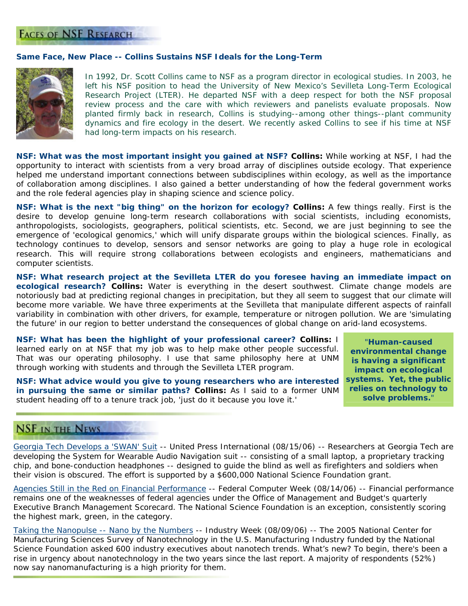## **FACES OF NSF RESEARCH**

### **Same Face, New Place -- Collins Sustains NSF Ideals for the Long-Term**



*In 1992, Dr. Scott Collins came to NSF as a program director in ecological studies. In 2003, he left his NSF position to head the* [University of New Mexico's Sevilleta Long-Term Ecological](http://sev.lternet.edu/)  [Research Project](http://sev.lternet.edu/) *(LTER). He departed NSF with a deep respect for both the NSF proposal review process and the care with which reviewers and panelists evaluate proposals. Now planted firmly back in research, Collins is studying--among other things--plant community dynamics and fire ecology in the desert. We recently asked Collins to see if his time at NSF had long-term impacts on his research.*

*NSF: What was the most important insight you gained at NSF?* **Collins:** While working at NSF, I had the opportunity to interact with scientists from a very broad array of disciplines outside ecology. That experience helped me understand important connections between subdisciplines within ecology, as well as the importance of collaboration among disciplines. I also gained a better understanding of how the federal government works and the role federal agencies play in shaping science and science policy.

*NSF: What is the next "big thing" on the horizon for ecology?* **Collins:** A few things really. First is the desire to develop genuine long-term research collaborations with social scientists, including economists, anthropologists, sociologists, geographers, political scientists, etc. Second, we are just beginning to see the emergence of 'ecological genomics,' which will unify disparate groups within the biological sciences. Finally, as technology continues to develop, sensors and sensor networks are going to play a huge role in ecological research. This will require strong collaborations between ecologists and engineers, mathematicians and computer scientists.

*NSF: What research project at the Sevilleta LTER do you foresee having an immediate impact on ecological research?* **Collins:** Water is everything in the desert southwest. Climate change models are notoriously bad at predicting regional changes in precipitation, but they all seem to suggest that our climate will become more variable. We have three experiments at the Sevilleta that manipulate different aspects of rainfall variability in combination with other drivers, for example, temperature or nitrogen pollution. We are 'simulating the future' in our region to better understand the consequences of global change on arid-land ecosystems.

*NSF: What has been the highlight of your professional career?* **Collins:** I learned early on at NSF that my job was to help make other people successful. That was our operating philosophy. I use that same philosophy here at UNM through working with students and through the Sevilleta LTER program.

*NSF: What advice would you give to young researchers who are interested in pursuing the same or similar paths?* **Collins:** As I said to a former UNM student heading off to a tenure track job, 'just do it because you love it.'

"*Human-caused environmental change is having a significant impact on ecological systems. Yet, the public relies on technology to solve problems.*"

## **NSF IN THE NEWS**

[Georgia Tech Develops a 'SWAN' Suit](http://www.upi.com/NewsTrack/view.php?StoryID=20060815-010124-6871r) -- *United Press International (08/15/06)* -- Researchers at Georgia Tech are developing the System for Wearable Audio Navigation suit -- consisting of a small laptop, a proprietary tracking chip, and bone-conduction headphones -- designed to guide the blind as well as firefighters and soldiers when their vision is obscured. The effort is supported by a \$600,000 National Science Foundation grant.

[Agencies Still in the Red on Financial Performance](http://www.fcw.com/article95635-08-14-06-Print) -- *Federal Computer Week (08/14/06)* -- Financial performance remains one of the weaknesses of federal agencies under the Office of Management and Budget's quarterly Executive Branch Management Scorecard. The National Science Foundation is an exception, consistently scoring the highest mark, green, in the category.

[Taking the Nanopulse -- Nano by the Numbers](http://www.industryweek.com/ReadArticle.aspx?ArticleID=12433) -- *Industry Week (08/09/06)* -- The 2005 National Center for Manufacturing Sciences Survey of Nanotechnology in the U.S. Manufacturing Industry funded by the National Science Foundation asked 600 industry executives about nanotech trends. What's new? To begin, there's been a rise in urgency about nanotechnology in the two years since the last report. A majority of respondents (52%) now say nanomanufacturing is a high priority for them.